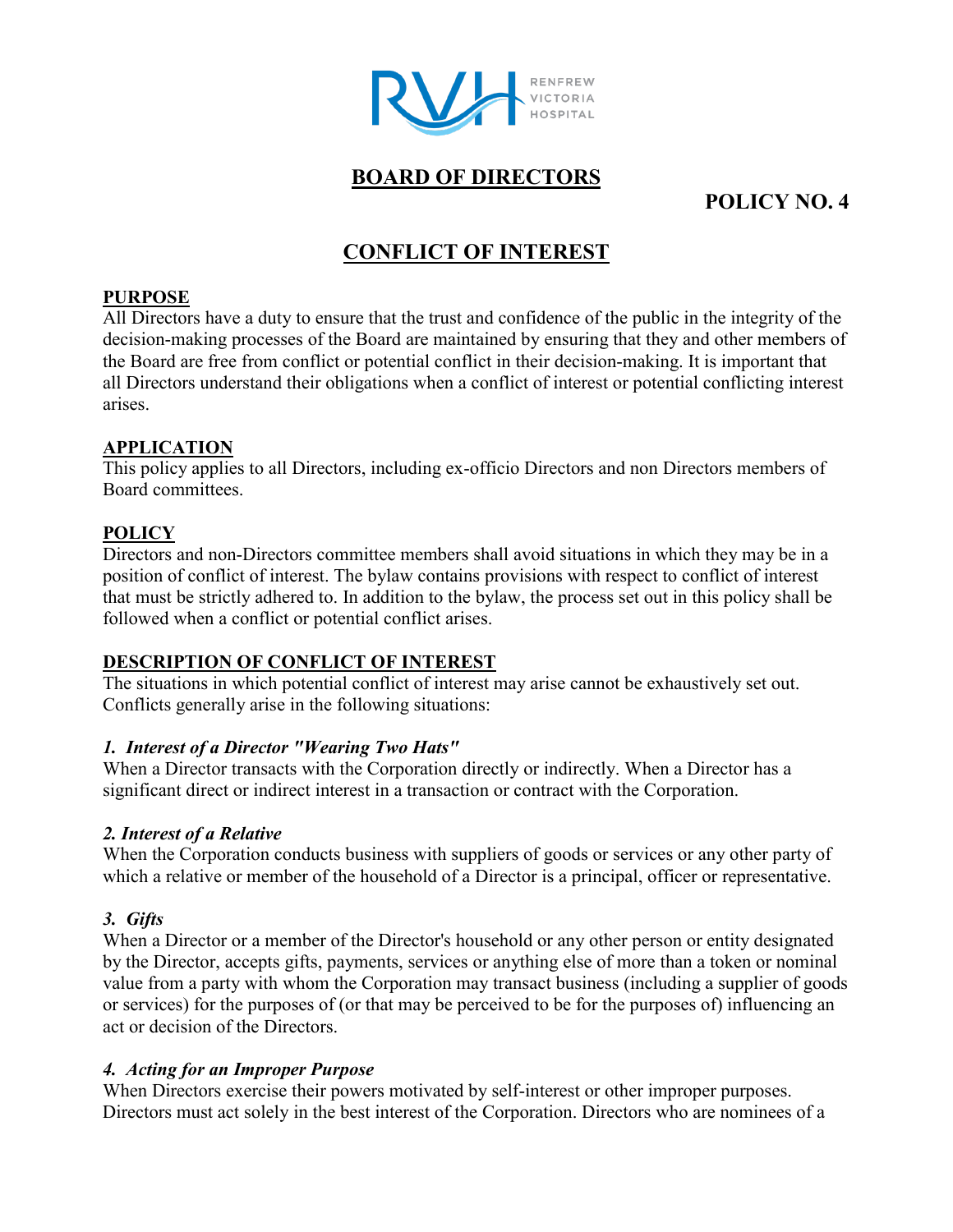

## **BOARD OF DIRECTORS**

# **POLICY NO. 4**

# **CONFLICT OF INTEREST**

#### **PURPOSE**

All Directors have a duty to ensure that the trust and confidence of the public in the integrity of the decision-making processes of the Board are maintained by ensuring that they and other members of the Board are free from conflict or potential conflict in their decision-making. It is important that all Directors understand their obligations when a conflict of interest or potential conflicting interest arises.

### **APPLICATION**

This policy applies to all Directors, including ex-officio Directors and non Directors members of Board committees.

### **POLICY**

Directors and non-Directors committee members shall avoid situations in which they may be in a position of conflict of interest. The bylaw contains provisions with respect to conflict of interest that must be strictly adhered to. In addition to the bylaw, the process set out in this policy shall be followed when a conflict or potential conflict arises.

### **DESCRIPTION OF CONFLICT OF INTEREST**

The situations in which potential conflict of interest may arise cannot be exhaustively set out. Conflicts generally arise in the following situations:

### *1. Interest of a Director "Wearing Two Hats"*

When a Director transacts with the Corporation directly or indirectly. When a Director has a significant direct or indirect interest in a transaction or contract with the Corporation.

### *2. Interest of a Relative*

When the Corporation conducts business with suppliers of goods or services or any other party of which a relative or member of the household of a Director is a principal, officer or representative.

### *3. Gifts*

When a Director or a member of the Director's household or any other person or entity designated by the Director, accepts gifts, payments, services or anything else of more than a token or nominal value from a party with whom the Corporation may transact business (including a supplier of goods or services) for the purposes of (or that may be perceived to be for the purposes of) influencing an act or decision of the Directors.

### *4. Acting for an Improper Purpose*

When Directors exercise their powers motivated by self-interest or other improper purposes. Directors must act solely in the best interest of the Corporation. Directors who are nominees of a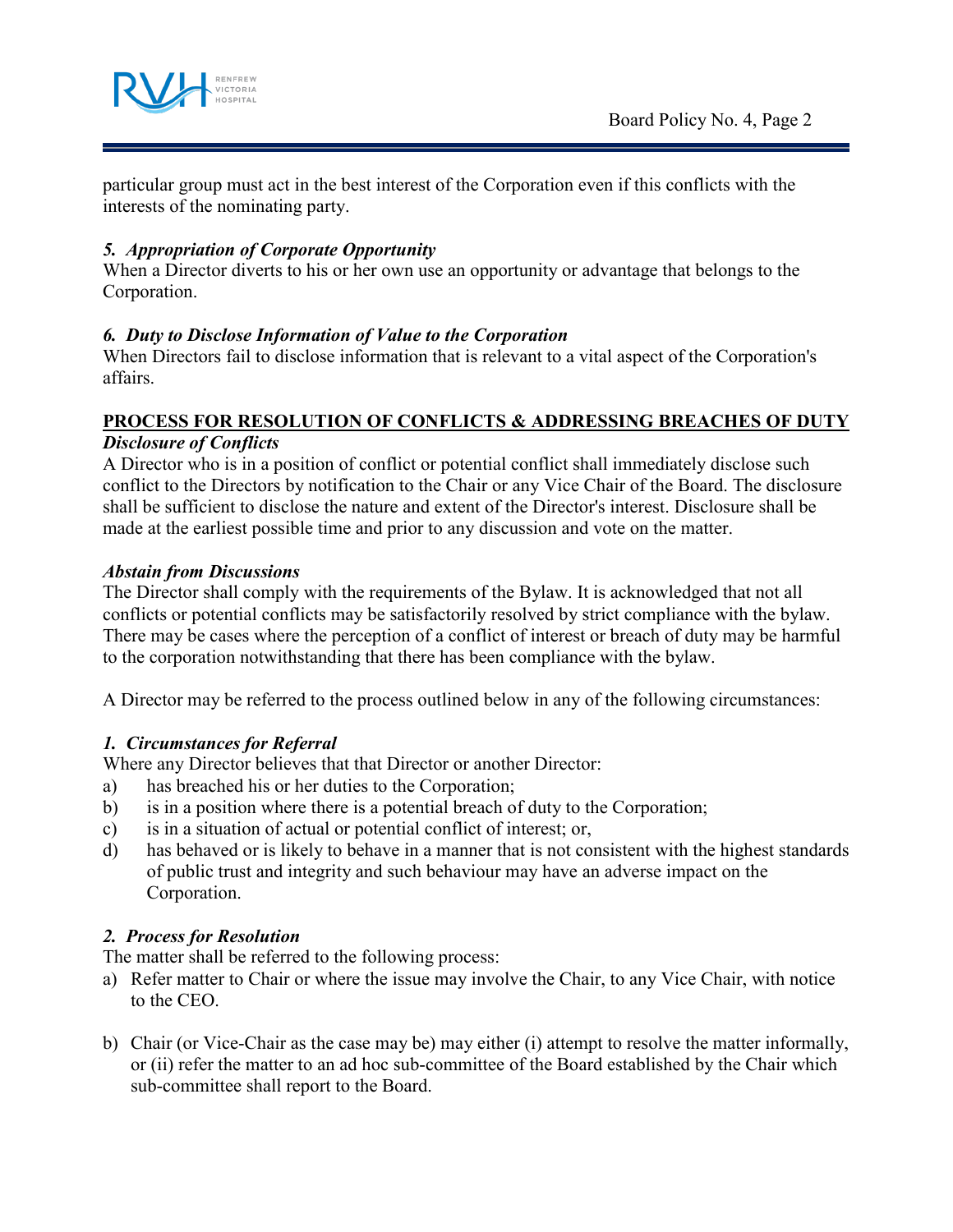

particular group must act in the best interest of the Corporation even if this conflicts with the interests of the nominating party.

### *5. Appropriation of Corporate Opportunity*

When a Director diverts to his or her own use an opportunity or advantage that belongs to the Corporation.

### *6. Duty to Disclose Information of Value to the Corporation*

When Directors fail to disclose information that is relevant to a vital aspect of the Corporation's affairs.

#### **PROCESS FOR RESOLUTION OF CONFLICTS & ADDRESSING BREACHES OF DUTY** *Disclosure of Conflicts*

A Director who is in a position of conflict or potential conflict shall immediately disclose such conflict to the Directors by notification to the Chair or any Vice Chair of the Board. The disclosure shall be sufficient to disclose the nature and extent of the Director's interest. Disclosure shall be made at the earliest possible time and prior to any discussion and vote on the matter.

### *Abstain from Discussions*

The Director shall comply with the requirements of the Bylaw. It is acknowledged that not all conflicts or potential conflicts may be satisfactorily resolved by strict compliance with the bylaw. There may be cases where the perception of a conflict of interest or breach of duty may be harmful to the corporation notwithstanding that there has been compliance with the bylaw.

A Director may be referred to the process outlined below in any of the following circumstances:

### *1. Circumstances for Referral*

Where any Director believes that that Director or another Director:

- a) has breached his or her duties to the Corporation;
- b) is in a position where there is a potential breach of duty to the Corporation;
- c) is in a situation of actual or potential conflict of interest; or,
- d) has behaved or is likely to behave in a manner that is not consistent with the highest standards of public trust and integrity and such behaviour may have an adverse impact on the Corporation.

### *2. Process for Resolution*

The matter shall be referred to the following process:

- a) Refer matter to Chair or where the issue may involve the Chair, to any Vice Chair, with notice to the CEO.
- b) Chair (or Vice-Chair as the case may be) may either (i) attempt to resolve the matter informally, or (ii) refer the matter to an ad hoc sub-committee of the Board established by the Chair which sub-committee shall report to the Board.